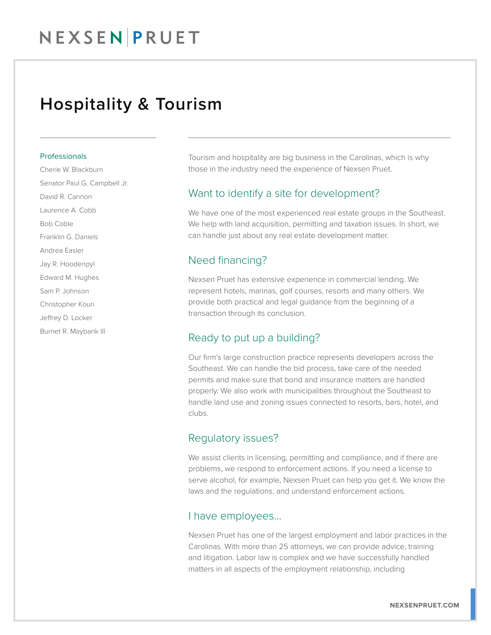# NEXSEN PRUET

# Hospitality & Tourism

#### Professionals

Cherie W. Blackburn Senator Paul G. Campbell Jr. David R. Cannon Laurence A. Cobb Bob Coble Franklin G. Daniels Andrea Easler Jay R. Hoodenpyl Edward M. Hughes Sam P. Johnson Christopher Kouri Jeffrey D. Locker Burnet R. Maybank III

Tourism and hospitality are big business in the Carolinas, which is why those in the industry need the experience of Nexsen Pruet.

#### Want to identify a site for development?

We have one of the most experienced real estate groups in the Southeast. We help with land acquisition, permitting and taxation issues. In short, we can handle just about any real estate development matter.

### Need financing?

Nexsen Pruet has extensive experience in commercial lending. We represent hotels, marinas, golf courses, resorts and many others. We provide both practical and legal guidance from the beginning of a transaction through its conclusion.

#### Ready to put up a building?

Our firm's large construction practice represents developers across the Southeast. We can handle the bid process, take care of the needed permits and make sure that bond and insurance matters are handled properly. We also work with municipalities throughout the Southeast to handle land use and zoning issues connected to resorts, bars, hotel, and clubs.

### Regulatory issues?

We assist clients in licensing, permitting and compliance, and if there are problems, we respond to enforcement actions. If you need a license to serve alcohol, for example, Nexsen Pruet can help you get it. We know the laws and the regulations, and understand enforcement actions.

#### I have employees...

Nexsen Pruet has one of the largest employment and labor practices in the Carolinas. With more than 25 attorneys, we can provide advice, training and litigation. Labor law is complex and we have successfully handled matters in all aspects of the employment relationship, including